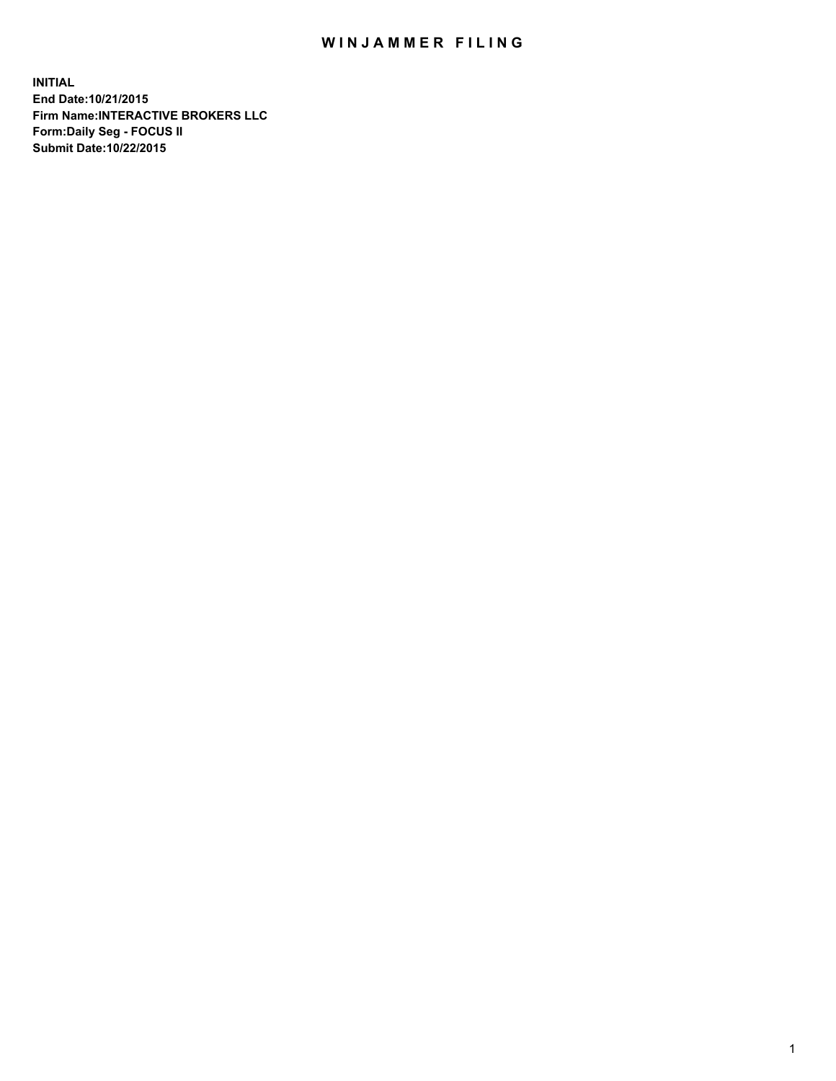## WIN JAMMER FILING

**INITIAL End Date:10/21/2015 Firm Name:INTERACTIVE BROKERS LLC Form:Daily Seg - FOCUS II Submit Date:10/22/2015**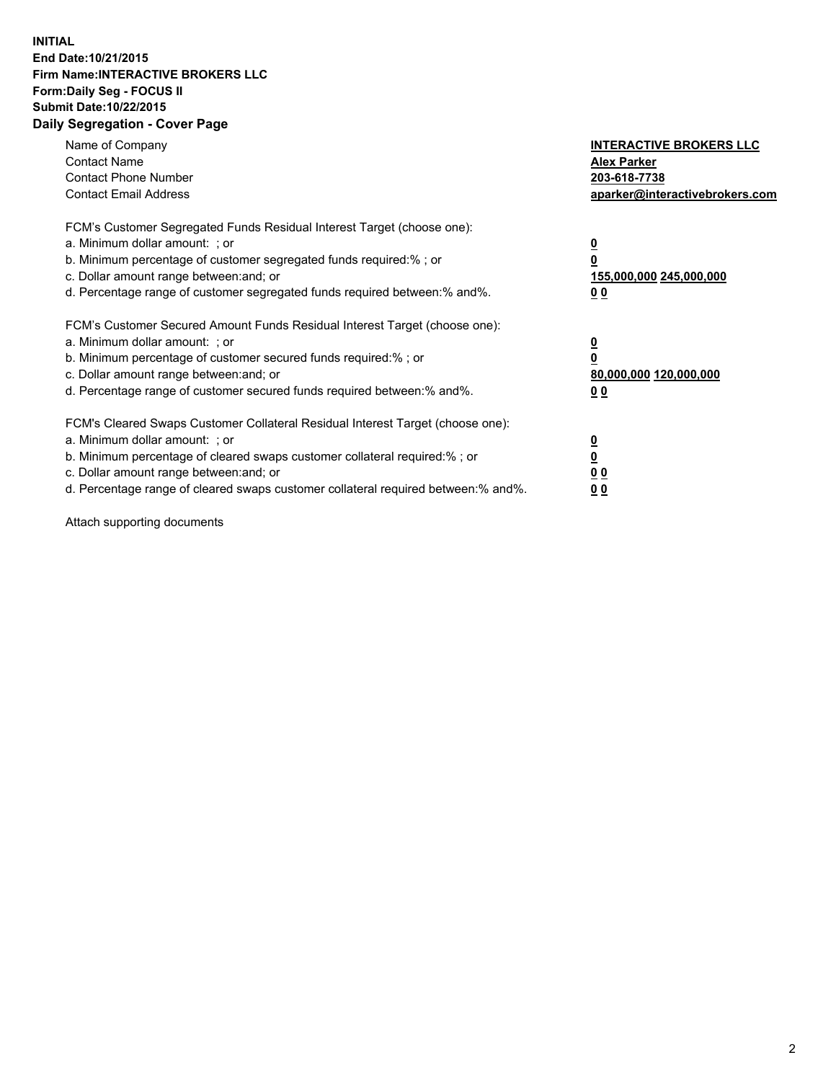## **INITIAL End Date:10/21/2015 Firm Name:INTERACTIVE BROKERS LLC Form:Daily Seg - FOCUS II Submit Date:10/22/2015 Daily Segregation - Cover Page**

| Name of Company<br><b>Contact Name</b><br><b>Contact Phone Number</b><br><b>Contact Email Address</b>                                                                                                                                                                                                                          | <b>INTERACTIVE BROKERS LLC</b><br><b>Alex Parker</b><br>203-618-7738<br>aparker@interactivebrokers.com |
|--------------------------------------------------------------------------------------------------------------------------------------------------------------------------------------------------------------------------------------------------------------------------------------------------------------------------------|--------------------------------------------------------------------------------------------------------|
| FCM's Customer Segregated Funds Residual Interest Target (choose one):<br>a. Minimum dollar amount: ; or<br>b. Minimum percentage of customer segregated funds required:% ; or<br>c. Dollar amount range between: and; or<br>d. Percentage range of customer segregated funds required between:% and%.                         | <u>0</u><br><u>155,000,000 245,000,000</u><br>00                                                       |
| FCM's Customer Secured Amount Funds Residual Interest Target (choose one):<br>a. Minimum dollar amount: ; or<br>b. Minimum percentage of customer secured funds required:%; or<br>c. Dollar amount range between: and; or<br>d. Percentage range of customer secured funds required between: % and %.                          | <u>0</u><br>80,000,000 120,000,000<br>0 <sub>0</sub>                                                   |
| FCM's Cleared Swaps Customer Collateral Residual Interest Target (choose one):<br>a. Minimum dollar amount: ; or<br>b. Minimum percentage of cleared swaps customer collateral required:% ; or<br>c. Dollar amount range between: and; or<br>d. Percentage range of cleared swaps customer collateral required between:% and%. | <u>0</u><br>0 <sub>0</sub><br><u>0 0</u>                                                               |

Attach supporting documents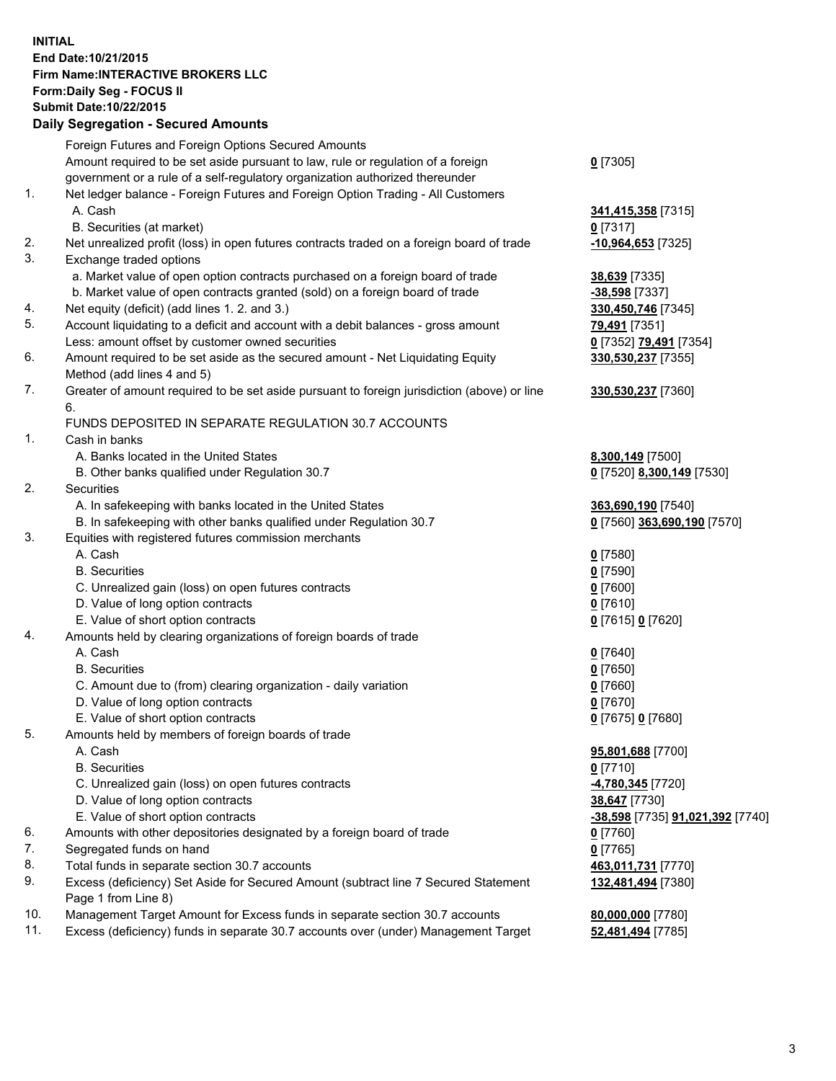## **INITIAL End Date:10/21/2015 Firm Name:INTERACTIVE BROKERS LLC Form:Daily Seg - FOCUS II Submit Date:10/22/2015 Daily Segregation - Secured Amounts**

|     | Daily Jegregation - Jeculed Aniounts                                                                       |                                  |
|-----|------------------------------------------------------------------------------------------------------------|----------------------------------|
|     | Foreign Futures and Foreign Options Secured Amounts                                                        |                                  |
|     | Amount required to be set aside pursuant to law, rule or regulation of a foreign                           | $0$ [7305]                       |
|     | government or a rule of a self-regulatory organization authorized thereunder                               |                                  |
| 1.  | Net ledger balance - Foreign Futures and Foreign Option Trading - All Customers                            |                                  |
|     | A. Cash                                                                                                    | 341,415,358 [7315]               |
|     | B. Securities (at market)                                                                                  | $0$ [7317]                       |
| 2.  | Net unrealized profit (loss) in open futures contracts traded on a foreign board of trade                  | $-10,964,653$ [7325]             |
| 3.  | Exchange traded options                                                                                    |                                  |
|     | a. Market value of open option contracts purchased on a foreign board of trade                             | <b>38,639</b> [7335]             |
|     | b. Market value of open contracts granted (sold) on a foreign board of trade                               | -38,598 [7337]                   |
| 4.  | Net equity (deficit) (add lines 1.2. and 3.)                                                               | 330,450,746 [7345]               |
| 5.  | Account liquidating to a deficit and account with a debit balances - gross amount                          | 79,491 [7351]                    |
|     | Less: amount offset by customer owned securities                                                           | 0 [7352] 79,491 [7354]           |
| 6.  | Amount required to be set aside as the secured amount - Net Liquidating Equity                             | 330,530,237 [7355]               |
|     | Method (add lines 4 and 5)                                                                                 |                                  |
| 7.  | Greater of amount required to be set aside pursuant to foreign jurisdiction (above) or line                | 330,530,237 [7360]               |
|     | 6.                                                                                                         |                                  |
|     | FUNDS DEPOSITED IN SEPARATE REGULATION 30.7 ACCOUNTS                                                       |                                  |
| 1.  | Cash in banks                                                                                              |                                  |
|     | A. Banks located in the United States                                                                      | 8,300,149 [7500]                 |
|     | B. Other banks qualified under Regulation 30.7                                                             | 0 [7520] 8,300,149 [7530]        |
| 2.  | Securities                                                                                                 |                                  |
|     | A. In safekeeping with banks located in the United States                                                  | 363,690,190 [7540]               |
|     | B. In safekeeping with other banks qualified under Regulation 30.7                                         | 0 [7560] 363,690,190 [7570]      |
| 3.  | Equities with registered futures commission merchants                                                      |                                  |
|     | A. Cash                                                                                                    | $0$ [7580]                       |
|     | <b>B.</b> Securities                                                                                       | $0$ [7590]                       |
|     | C. Unrealized gain (loss) on open futures contracts                                                        | $0$ [7600]                       |
|     | D. Value of long option contracts                                                                          | $0$ [7610]                       |
|     | E. Value of short option contracts                                                                         | 0 [7615] 0 [7620]                |
| 4.  | Amounts held by clearing organizations of foreign boards of trade                                          |                                  |
|     | A. Cash                                                                                                    | $0$ [7640]                       |
|     | <b>B.</b> Securities                                                                                       | $0$ [7650]                       |
|     | C. Amount due to (from) clearing organization - daily variation                                            | $0$ [7660]                       |
|     | D. Value of long option contracts                                                                          | $0$ [7670]                       |
|     | E. Value of short option contracts                                                                         | 0 [7675] 0 [7680]                |
| 5.  | Amounts held by members of foreign boards of trade                                                         |                                  |
|     | A. Cash                                                                                                    | 95,801,688 [7700]                |
|     | <b>B.</b> Securities                                                                                       | $0$ [7710]                       |
|     | C. Unrealized gain (loss) on open futures contracts                                                        | 4,780,345 [7720]                 |
|     | D. Value of long option contracts                                                                          | 38,647 [7730]                    |
|     | E. Value of short option contracts                                                                         | -38,598 [7735] 91,021,392 [7740] |
| 6.  | Amounts with other depositories designated by a foreign board of trade                                     | 0 [7760]                         |
| 7.  | Segregated funds on hand                                                                                   | $0$ [7765]                       |
| 8.  | Total funds in separate section 30.7 accounts                                                              | 463,011,731 [7770]               |
| 9.  | Excess (deficiency) Set Aside for Secured Amount (subtract line 7 Secured Statement<br>Page 1 from Line 8) | 132,481,494 [7380]               |
| 10. | Management Target Amount for Excess funds in separate section 30.7 accounts                                | 80,000,000 [7780]                |
| 11. | Excess (deficiency) funds in separate 30.7 accounts over (under) Management Target                         | 52,481,494 [7785]                |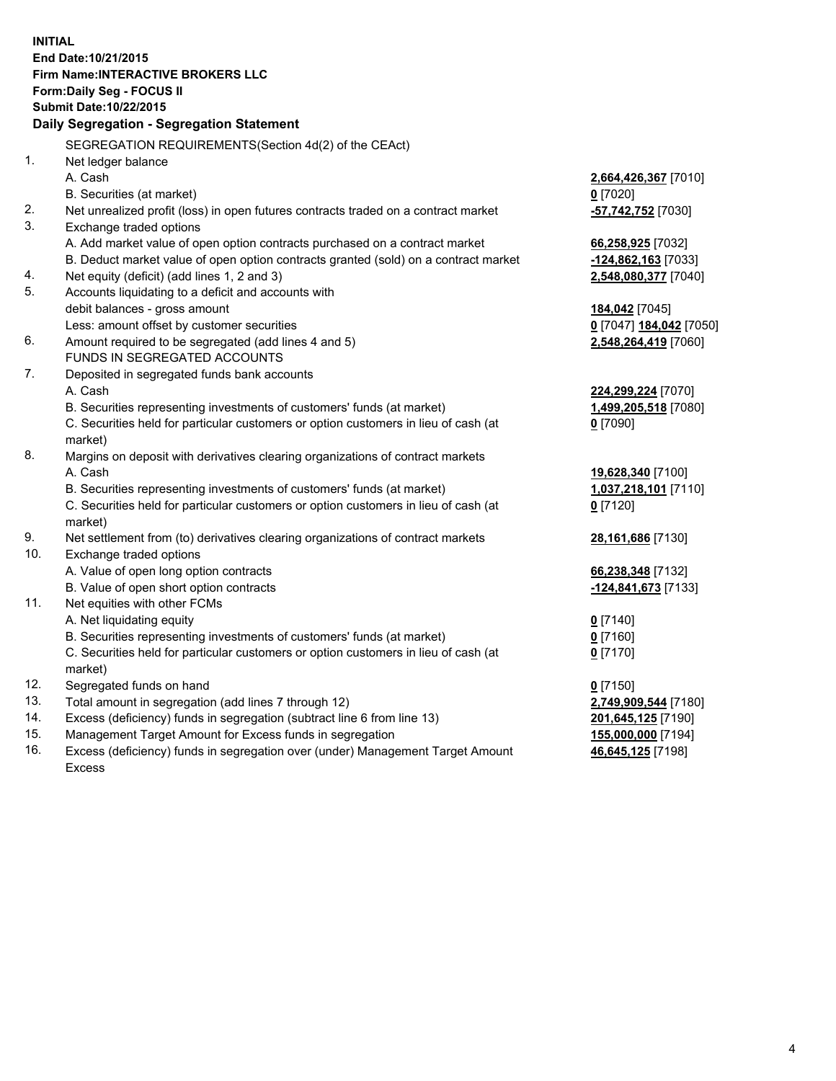**INITIAL End Date:10/21/2015 Firm Name:INTERACTIVE BROKERS LLC Form:Daily Seg - FOCUS II Submit Date:10/22/2015 Daily Segregation - Segregation Statement** SEGREGATION REQUIREMENTS(Section 4d(2) of the CEAct) 1. Net ledger balance A. Cash **2,664,426,367** [7010] B. Securities (at market) **0** [7020] 2. Net unrealized profit (loss) in open futures contracts traded on a contract market **-57,742,752** [7030] 3. Exchange traded options A. Add market value of open option contracts purchased on a contract market **66,258,925** [7032] B. Deduct market value of open option contracts granted (sold) on a contract market **-124,862,163** [7033] 4. Net equity (deficit) (add lines 1, 2 and 3) **2,548,080,377** [7040] 5. Accounts liquidating to a deficit and accounts with debit balances - gross amount **184,042** [7045] Less: amount offset by customer securities **0** [7047] **184,042** [7050] 6. Amount required to be segregated (add lines 4 and 5) **2,548,264,419** [7060] FUNDS IN SEGREGATED ACCOUNTS 7. Deposited in segregated funds bank accounts A. Cash **224,299,224** [7070] B. Securities representing investments of customers' funds (at market) **1,499,205,518** [7080] C. Securities held for particular customers or option customers in lieu of cash (at market) **0** [7090] 8. Margins on deposit with derivatives clearing organizations of contract markets A. Cash **19,628,340** [7100] B. Securities representing investments of customers' funds (at market) **1,037,218,101** [7110] C. Securities held for particular customers or option customers in lieu of cash (at market) **0** [7120] 9. Net settlement from (to) derivatives clearing organizations of contract markets **28,161,686** [7130] 10. Exchange traded options A. Value of open long option contracts **66,238,348** [7132] B. Value of open short option contracts **-124,841,673** [7133] 11. Net equities with other FCMs A. Net liquidating equity **0** [7140] B. Securities representing investments of customers' funds (at market) **0** [7160] C. Securities held for particular customers or option customers in lieu of cash (at market) **0** [7170] 12. Segregated funds on hand **0** [7150] 13. Total amount in segregation (add lines 7 through 12) **2,749,909,544** [7180] 14. Excess (deficiency) funds in segregation (subtract line 6 from line 13) **201,645,125** [7190] 15. Management Target Amount for Excess funds in segregation **155,000,000** [7194] 16. Excess (deficiency) funds in segregation over (under) Management Target Amount **46,645,125** [7198]

Excess